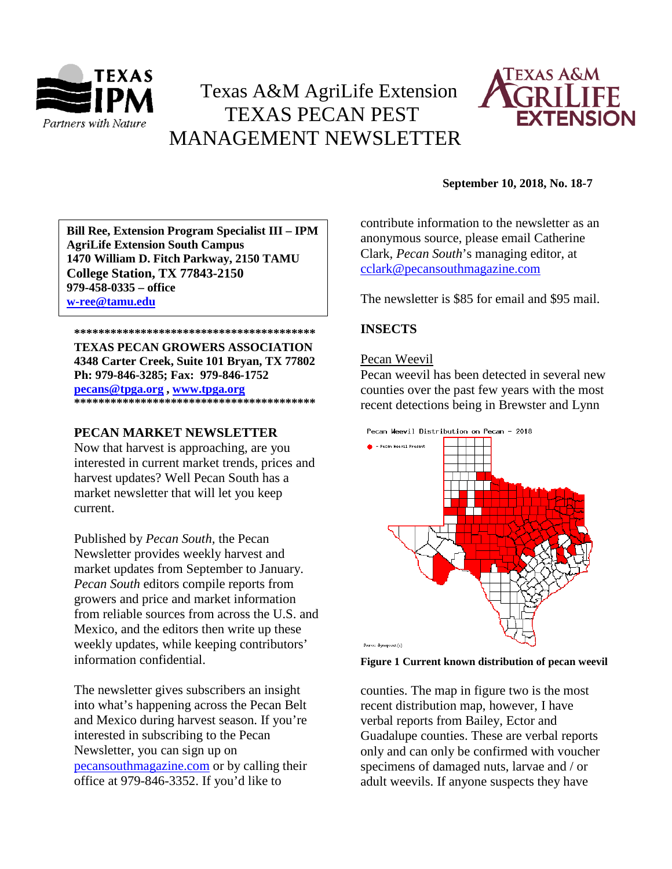

# Texas A&M AgriLife Extension TEXAS PECAN PEST MANAGEMENT NEWSLETTER



#### **\*\*\*\*\*\*\*\*\*\*\*\*\*\*\*\*\*\*\*\*\*\*\*\*\*\*\*\*\*\*\*\*\*\*\*\*\*\*\*\* 1470 William D. Fitch Parkway, 2150 TAMU Bill Ree, Extension Program Specialist III – IPM AgriLife Extension South Campus College Station, TX 77843-2150 979-458-0335 – office [w-ree@tamu.edu](mailto:w-ree@tamu.edu)**

#### **\*\*\*\*\*\*\*\*\*\*\*\*\*\*\*\*\*\*\*\*\*\*\*\*\*\*\*\*\*\*\*\*\*\*\*\*\*\*\*\* TEXAS PECAN GROWERS ASSOCIATION 4348 Carter Creek, Suite 101 Bryan, TX 77802 Ph: 979-846-3285; Fax: 979-846-1752 [pecans@tpga.org](mailto:pecans@tpga.org) , [www.tpga.org](http://www.tpga.org/) \*\*\*\*\*\*\*\*\*\*\*\*\*\*\*\*\*\*\*\*\*\*\*\*\*\*\*\*\*\*\*\*\*\*\*\*\*\*\*\***

# **PECAN MARKET NEWSLETTER**

Now that harvest is approaching, are you interested in current market trends, prices and harvest updates? Well Pecan South has a market newsletter that will let you keep current.

Published by *Pecan South,* the Pecan Newsletter provides weekly harvest and market updates from September to January. *Pecan South* editors compile reports from growers and price and market information from reliable sources from across the U.S. and Mexico, and the editors then write up these weekly updates, while keeping contributors' information confidential.

The newsletter gives subscribers an insight into what's happening across the Pecan Belt and Mexico during harvest season. If you're interested in subscribing to the Pecan Newsletter, you can sign up on [pecansouthmagazine.com](https://urldefense.proofpoint.com/v2/url?u=http-3A__pecansouthmagazine.com&d=DwMFaQ&c=r_tSStIHV2ie60z4DgB-pQ&r=7ETvXZMHqvNaf4CKhIOHum0To6lAeBzagnOltKWg7mE&m=S9tZ60JKAp_n45FbX3iUOyyBNH-U69wEz0vdgv4YfJs&s=3hd8gELbKodSxZuP2m_JS90hd6pozE33dmfhRJnnd98&e=) or by calling their office at 979-846-3352. If you'd like to

#### **September 10, 2018, No. 18-7**

contribute information to the newsletter as an anonymous source, please email Catherine Clark, *Pecan South*'s managing editor, at [cclark@pecansouthmagazine.com](mailto:cclark@pecansouthmagazine.com)

The newsletter is \$85 for email and \$95 mail.

## **INSECTS**

### Pecan Weevil

Pecan weevil has been detected in several new counties over the past few years with the most recent detections being in Brewster and Lynn



**Figure 1 Current known distribution of pecan weevil** 

counties. The map in figure two is the most recent distribution map, however, I have verbal reports from Bailey, Ector and Guadalupe counties. These are verbal reports only and can only be confirmed with voucher specimens of damaged nuts, larvae and / or adult weevils. If anyone suspects they have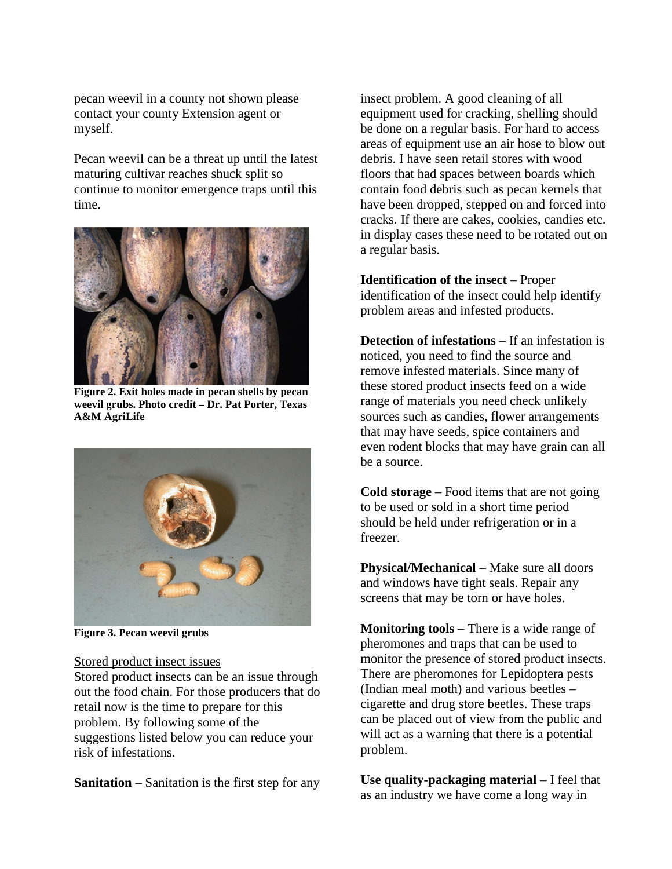pecan weevil in a county not shown please contact your county Extension agent or myself.

Pecan weevil can be a threat up until the latest maturing cultivar reaches shuck split so continue to monitor emergence traps until this time.



**Figure 2. Exit holes made in pecan shells by pecan weevil grubs. Photo credit – Dr. Pat Porter, Texas A&M AgriLife**



**Figure 3. Pecan weevil grubs**

#### Stored product insect issues

Stored product insects can be an issue through out the food chain. For those producers that do retail now is the time to prepare for this problem. By following some of the suggestions listed below you can reduce your risk of infestations.

**Sanitation** – Sanitation is the first step for any

insect problem. A good cleaning of all equipment used for cracking, shelling should be done on a regular basis. For hard to access areas of equipment use an air hose to blow out debris. I have seen retail stores with wood floors that had spaces between boards which contain food debris such as pecan kernels that have been dropped, stepped on and forced into cracks. If there are cakes, cookies, candies etc. in display cases these need to be rotated out on a regular basis.

**Identification of the insect** – Proper identification of the insect could help identify problem areas and infested products.

**Detection of infestations** – If an infestation is noticed, you need to find the source and remove infested materials. Since many of these stored product insects feed on a wide range of materials you need check unlikely sources such as candies, flower arrangements that may have seeds, spice containers and even rodent blocks that may have grain can all be a source.

**Cold storage** – Food items that are not going to be used or sold in a short time period should be held under refrigeration or in a freezer.

**Physical/Mechanical** – Make sure all doors and windows have tight seals. Repair any screens that may be torn or have holes.

**Monitoring tools** – There is a wide range of pheromones and traps that can be used to monitor the presence of stored product insects. There are pheromones for Lepidoptera pests (Indian meal moth) and various beetles – cigarette and drug store beetles. These traps can be placed out of view from the public and will act as a warning that there is a potential problem.

**Use quality-packaging material** – I feel that as an industry we have come a long way in